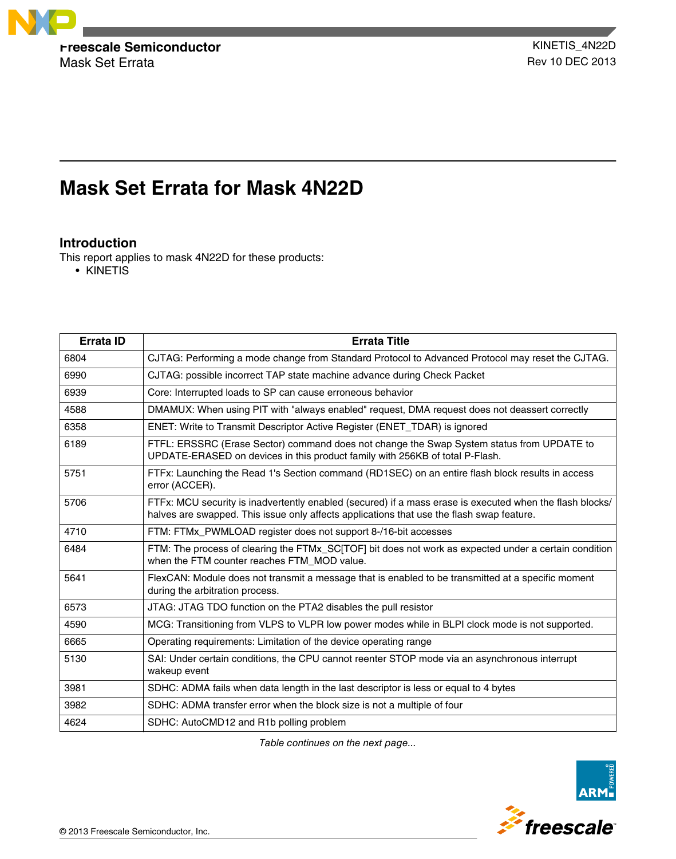

# **Mask Set Errata for Mask 4N22D**

# **Introduction**

This report applies to mask 4N22D for these products:

• KINETIS

| <b>Errata ID</b> | <b>Errata Title</b>                                                                                                                                                                                   |
|------------------|-------------------------------------------------------------------------------------------------------------------------------------------------------------------------------------------------------|
| 6804             | CJTAG: Performing a mode change from Standard Protocol to Advanced Protocol may reset the CJTAG.                                                                                                      |
| 6990             | CJTAG: possible incorrect TAP state machine advance during Check Packet                                                                                                                               |
| 6939             | Core: Interrupted loads to SP can cause erroneous behavior                                                                                                                                            |
| 4588             | DMAMUX: When using PIT with "always enabled" request, DMA request does not deassert correctly                                                                                                         |
| 6358             | ENET: Write to Transmit Descriptor Active Register (ENET_TDAR) is ignored                                                                                                                             |
| 6189             | FTFL: ERSSRC (Erase Sector) command does not change the Swap System status from UPDATE to<br>UPDATE-ERASED on devices in this product family with 256KB of total P-Flash.                             |
| 5751             | FTFx: Launching the Read 1's Section command (RD1SEC) on an entire flash block results in access<br>error (ACCER).                                                                                    |
| 5706             | FTFx: MCU security is inadvertently enabled (secured) if a mass erase is executed when the flash blocks/<br>halves are swapped. This issue only affects applications that use the flash swap feature. |
| 4710             | FTM: FTMx_PWMLOAD register does not support 8-/16-bit accesses                                                                                                                                        |
| 6484             | FTM: The process of clearing the FTMx_SC[TOF] bit does not work as expected under a certain condition<br>when the FTM counter reaches FTM MOD value.                                                  |
| 5641             | FlexCAN: Module does not transmit a message that is enabled to be transmitted at a specific moment<br>during the arbitration process.                                                                 |
| 6573             | JTAG: JTAG TDO function on the PTA2 disables the pull resistor                                                                                                                                        |
| 4590             | MCG: Transitioning from VLPS to VLPR low power modes while in BLPI clock mode is not supported.                                                                                                       |
| 6665             | Operating requirements: Limitation of the device operating range                                                                                                                                      |
| 5130             | SAI: Under certain conditions, the CPU cannot reenter STOP mode via an asynchronous interrupt<br>wakeup event                                                                                         |
| 3981             | SDHC: ADMA fails when data length in the last descriptor is less or equal to 4 bytes                                                                                                                  |
| 3982             | SDHC: ADMA transfer error when the block size is not a multiple of four                                                                                                                               |
| 4624             | SDHC: AutoCMD12 and R1b polling problem                                                                                                                                                               |

*Table continues on the next page...*

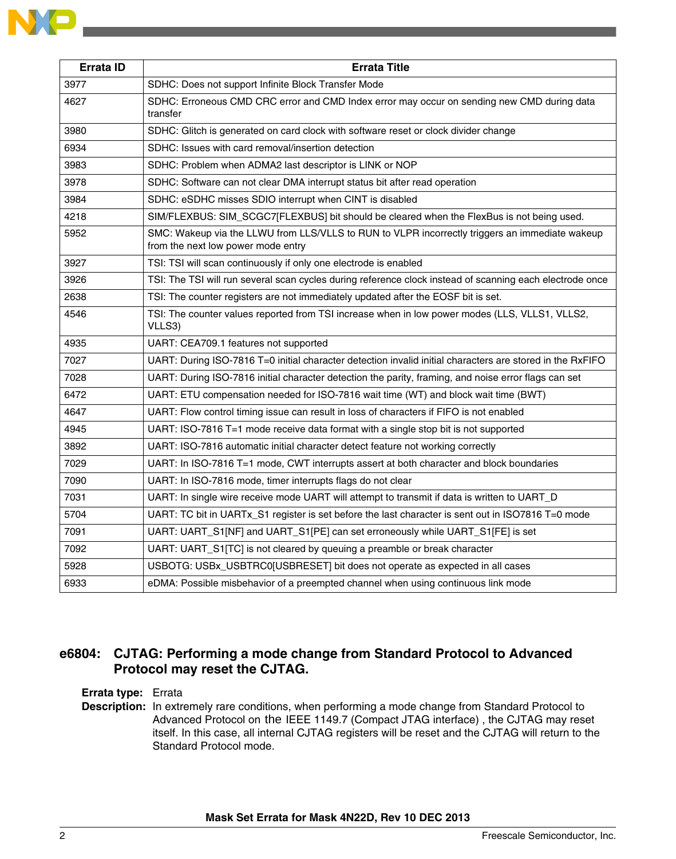| Errata ID | <b>Errata Title</b>                                                                                                                  |
|-----------|--------------------------------------------------------------------------------------------------------------------------------------|
| 3977      | SDHC: Does not support Infinite Block Transfer Mode                                                                                  |
| 4627      | SDHC: Erroneous CMD CRC error and CMD Index error may occur on sending new CMD during data<br>transfer                               |
| 3980      | SDHC: Glitch is generated on card clock with software reset or clock divider change                                                  |
| 6934      | SDHC: Issues with card removal/insertion detection                                                                                   |
| 3983      | SDHC: Problem when ADMA2 last descriptor is LINK or NOP                                                                              |
| 3978      | SDHC: Software can not clear DMA interrupt status bit after read operation                                                           |
| 3984      | SDHC: eSDHC misses SDIO interrupt when CINT is disabled                                                                              |
| 4218      | SIM/FLEXBUS: SIM_SCGC7[FLEXBUS] bit should be cleared when the FlexBus is not being used.                                            |
| 5952      | SMC: Wakeup via the LLWU from LLS/VLLS to RUN to VLPR incorrectly triggers an immediate wakeup<br>from the next low power mode entry |
| 3927      | TSI: TSI will scan continuously if only one electrode is enabled                                                                     |
| 3926      | TSI: The TSI will run several scan cycles during reference clock instead of scanning each electrode once                             |
| 2638      | TSI: The counter registers are not immediately updated after the EOSF bit is set.                                                    |
| 4546      | TSI: The counter values reported from TSI increase when in low power modes (LLS, VLLS1, VLLS2,<br>VLLS3)                             |
| 4935      | UART: CEA709.1 features not supported                                                                                                |
| 7027      | UART: During ISO-7816 T=0 initial character detection invalid initial characters are stored in the RxFIFO                            |
| 7028      | UART: During ISO-7816 initial character detection the parity, framing, and noise error flags can set                                 |
| 6472      | UART: ETU compensation needed for ISO-7816 wait time (WT) and block wait time (BWT)                                                  |
| 4647      | UART: Flow control timing issue can result in loss of characters if FIFO is not enabled                                              |
| 4945      | UART: ISO-7816 T=1 mode receive data format with a single stop bit is not supported                                                  |
| 3892      | UART: ISO-7816 automatic initial character detect feature not working correctly                                                      |
| 7029      | UART: In ISO-7816 T=1 mode, CWT interrupts assert at both character and block boundaries                                             |
| 7090      | UART: In ISO-7816 mode, timer interrupts flags do not clear                                                                          |
| 7031      | UART: In single wire receive mode UART will attempt to transmit if data is written to UART_D                                         |
| 5704      | UART: TC bit in UARTx_S1 register is set before the last character is sent out in ISO7816 T=0 mode                                   |
| 7091      | UART: UART_S1[NF] and UART_S1[PE] can set erroneously while UART_S1[FE] is set                                                       |
| 7092      | UART: UART_S1 <sup>[TC]</sup> is not cleared by queuing a preamble or break character                                                |
| 5928      | USBOTG: USBx_USBTRC0[USBRESET] bit does not operate as expected in all cases                                                         |
| 6933      | eDMA: Possible misbehavior of a preempted channel when using continuous link mode                                                    |

# **e6804: CJTAG: Performing a mode change from Standard Protocol to Advanced Protocol may reset the CJTAG.**

#### **Errata type:** Errata

**Description:** In extremely rare conditions, when performing a mode change from Standard Protocol to Advanced Protocol on the IEEE 1149.7 (Compact JTAG interface), the CJTAG may reset itself. In this case, all internal CJTAG registers will be reset and the CJTAG will return to the Standard Protocol mode.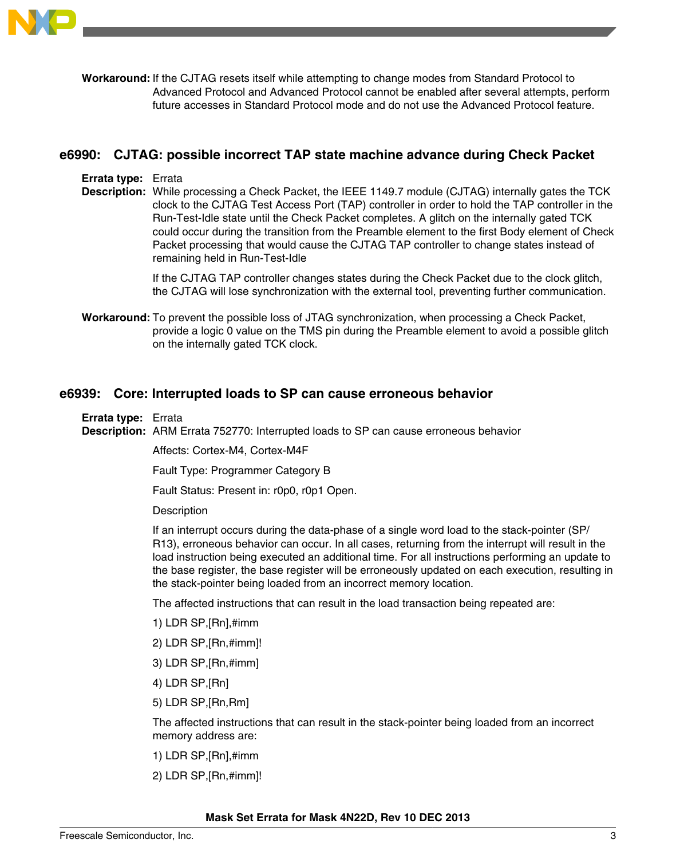

**Workaround:** If the CJTAG resets itself while attempting to change modes from Standard Protocol to Advanced Protocol and Advanced Protocol cannot be enabled after several attempts, perform future accesses in Standard Protocol mode and do not use the Advanced Protocol feature.

### **e6990: CJTAG: possible incorrect TAP state machine advance during Check Packet**

#### **Errata type:** Errata

**Description:** While processing a Check Packet, the IEEE 1149.7 module (CJTAG) internally gates the TCK clock to the CJTAG Test Access Port (TAP) controller in order to hold the TAP controller in the Run-Test-Idle state until the Check Packet completes. A glitch on the internally gated TCK could occur during the transition from the Preamble element to the first Body element of Check Packet processing that would cause the CJTAG TAP controller to change states instead of remaining held in Run-Test-Idle

> If the CJTAG TAP controller changes states during the Check Packet due to the clock glitch, the CJTAG will lose synchronization with the external tool, preventing further communication.

**Workaround:** To prevent the possible loss of JTAG synchronization, when processing a Check Packet, provide a logic 0 value on the TMS pin during the Preamble element to avoid a possible glitch on the internally gated TCK clock.

### **e6939: Core: Interrupted loads to SP can cause erroneous behavior**

**Errata type:** Errata

**Description:** ARM Errata 752770: Interrupted loads to SP can cause erroneous behavior

Affects: Cortex-M4, Cortex-M4F

Fault Type: Programmer Category B

Fault Status: Present in: r0p0, r0p1 Open.

**Description** 

If an interrupt occurs during the data-phase of a single word load to the stack-pointer (SP/ R13), erroneous behavior can occur. In all cases, returning from the interrupt will result in the load instruction being executed an additional time. For all instructions performing an update to the base register, the base register will be erroneously updated on each execution, resulting in the stack-pointer being loaded from an incorrect memory location.

The affected instructions that can result in the load transaction being repeated are:

- 1) LDR SP,[Rn],#imm
- 2) LDR SP,[Rn,#imm]!
- 3) LDR SP,[Rn,#imm]
- 4) LDR SP,[Rn]
- 5) LDR SP,[Rn,Rm]

The affected instructions that can result in the stack-pointer being loaded from an incorrect memory address are:

- 1) LDR SP,[Rn],#imm
- 2) LDR SP,[Rn,#imm]!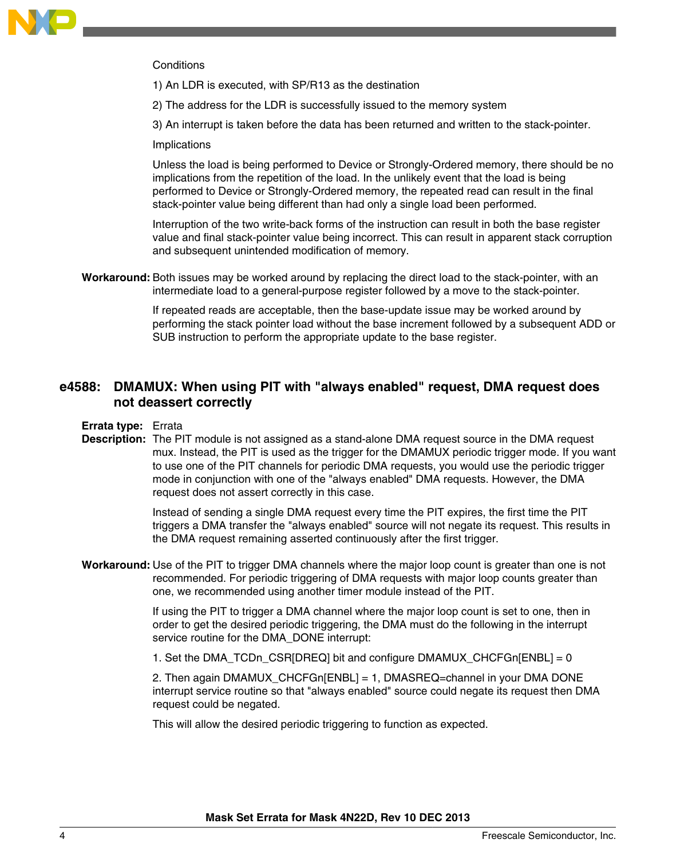

#### **Conditions**

1) An LDR is executed, with SP/R13 as the destination

2) The address for the LDR is successfully issued to the memory system

3) An interrupt is taken before the data has been returned and written to the stack-pointer.

Implications

Unless the load is being performed to Device or Strongly-Ordered memory, there should be no implications from the repetition of the load. In the unlikely event that the load is being performed to Device or Strongly-Ordered memory, the repeated read can result in the final stack-pointer value being different than had only a single load been performed.

Interruption of the two write-back forms of the instruction can result in both the base register value and final stack-pointer value being incorrect. This can result in apparent stack corruption and subsequent unintended modification of memory.

**Workaround:** Both issues may be worked around by replacing the direct load to the stack-pointer, with an intermediate load to a general-purpose register followed by a move to the stack-pointer.

> If repeated reads are acceptable, then the base-update issue may be worked around by performing the stack pointer load without the base increment followed by a subsequent ADD or SUB instruction to perform the appropriate update to the base register.

# **e4588: DMAMUX: When using PIT with "always enabled" request, DMA request does not deassert correctly**

**Errata type:** Errata

**Description:** The PIT module is not assigned as a stand-alone DMA request source in the DMA request mux. Instead, the PIT is used as the trigger for the DMAMUX periodic trigger mode. If you want to use one of the PIT channels for periodic DMA requests, you would use the periodic trigger mode in conjunction with one of the "always enabled" DMA requests. However, the DMA request does not assert correctly in this case.

> Instead of sending a single DMA request every time the PIT expires, the first time the PIT triggers a DMA transfer the "always enabled" source will not negate its request. This results in the DMA request remaining asserted continuously after the first trigger.

**Workaround:** Use of the PIT to trigger DMA channels where the major loop count is greater than one is not recommended. For periodic triggering of DMA requests with major loop counts greater than one, we recommended using another timer module instead of the PIT.

> If using the PIT to trigger a DMA channel where the major loop count is set to one, then in order to get the desired periodic triggering, the DMA must do the following in the interrupt service routine for the DMA\_DONE interrupt:

1. Set the DMA\_TCDn\_CSR[DREQ] bit and configure DMAMUX\_CHCFGn[ENBL] = 0

2. Then again DMAMUX CHCFGn[ENBL] = 1, DMASREQ=channel in your DMA DONE interrupt service routine so that "always enabled" source could negate its request then DMA request could be negated.

This will allow the desired periodic triggering to function as expected.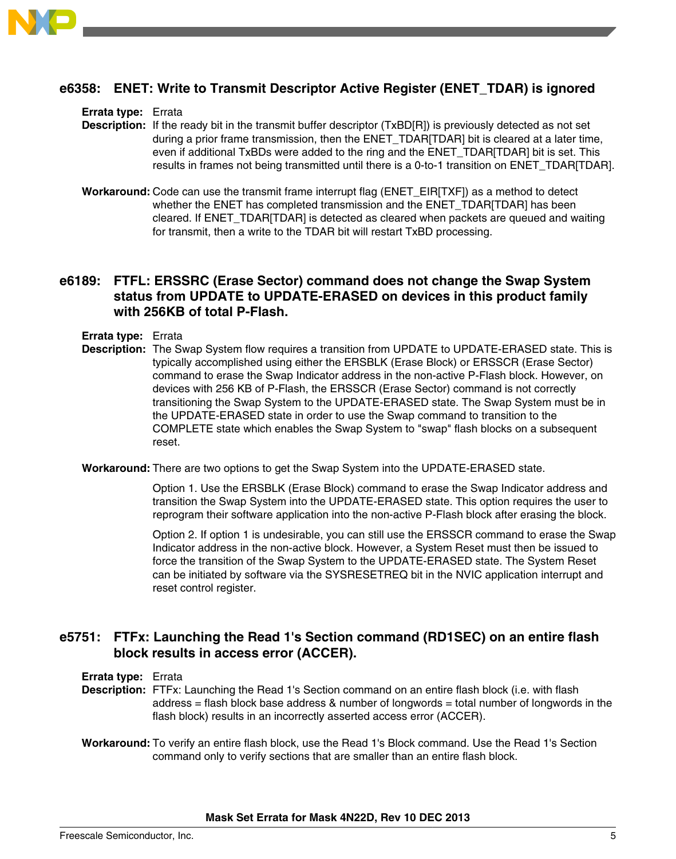

# **e6358: ENET: Write to Transmit Descriptor Active Register (ENET\_TDAR) is ignored**

**Errata type:** Errata

- **Description:** If the ready bit in the transmit buffer descriptor (TxBD[R]) is previously detected as not set during a prior frame transmission, then the ENET\_TDAR[TDAR] bit is cleared at a later time, even if additional TxBDs were added to the ring and the ENET\_TDAR[TDAR] bit is set. This results in frames not being transmitted until there is a 0-to-1 transition on ENET\_TDAR[TDAR].
- **Workaround:** Code can use the transmit frame interrupt flag (ENET\_EIR[TXF]) as a method to detect whether the ENET has completed transmission and the ENET\_TDAR[TDAR] has been cleared. If ENET\_TDAR[TDAR] is detected as cleared when packets are queued and waiting for transmit, then a write to the TDAR bit will restart TxBD processing.

# **e6189: FTFL: ERSSRC (Erase Sector) command does not change the Swap System status from UPDATE to UPDATE-ERASED on devices in this product family with 256KB of total P-Flash.**

**Errata type:** Errata

**Description:** The Swap System flow requires a transition from UPDATE to UPDATE-ERASED state. This is typically accomplished using either the ERSBLK (Erase Block) or ERSSCR (Erase Sector) command to erase the Swap Indicator address in the non-active P-Flash block. However, on devices with 256 KB of P-Flash, the ERSSCR (Erase Sector) command is not correctly transitioning the Swap System to the UPDATE-ERASED state. The Swap System must be in the UPDATE-ERASED state in order to use the Swap command to transition to the COMPLETE state which enables the Swap System to "swap" flash blocks on a subsequent reset.

**Workaround:** There are two options to get the Swap System into the UPDATE-ERASED state.

Option 1. Use the ERSBLK (Erase Block) command to erase the Swap Indicator address and transition the Swap System into the UPDATE-ERASED state. This option requires the user to reprogram their software application into the non-active P-Flash block after erasing the block.

Option 2. If option 1 is undesirable, you can still use the ERSSCR command to erase the Swap Indicator address in the non-active block. However, a System Reset must then be issued to force the transition of the Swap System to the UPDATE-ERASED state. The System Reset can be initiated by software via the SYSRESETREQ bit in the NVIC application interrupt and reset control register.

# **e5751: FTFx: Launching the Read 1's Section command (RD1SEC) on an entire flash block results in access error (ACCER).**

**Errata type:** Errata

- **Description:** FTFx: Launching the Read 1's Section command on an entire flash block (i.e. with flash address = flash block base address & number of longwords = total number of longwords in the flash block) results in an incorrectly asserted access error (ACCER).
- **Workaround:** To verify an entire flash block, use the Read 1's Block command. Use the Read 1's Section command only to verify sections that are smaller than an entire flash block.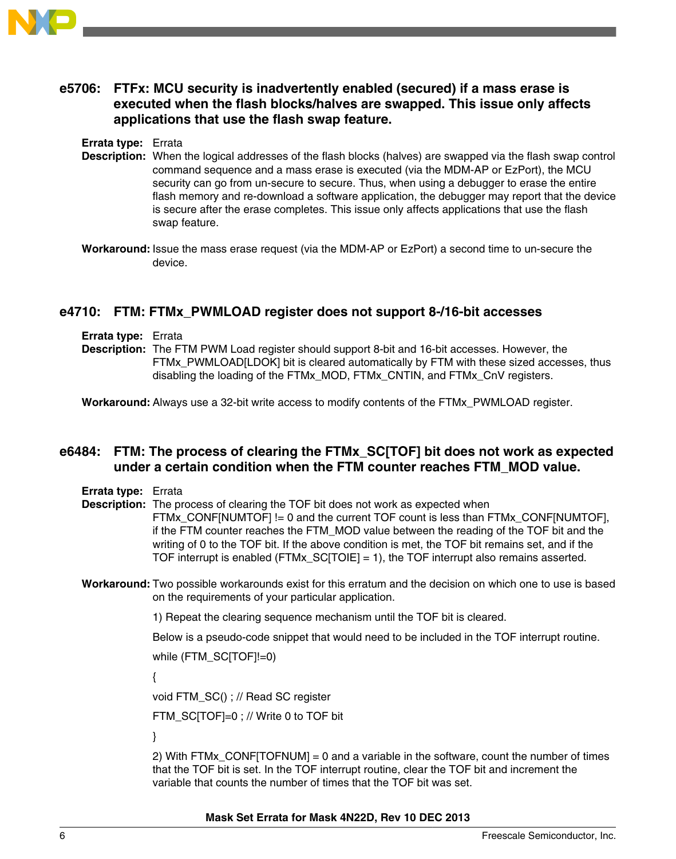

# **e5706: FTFx: MCU security is inadvertently enabled (secured) if a mass erase is executed when the flash blocks/halves are swapped. This issue only affects applications that use the flash swap feature.**

**Errata type:** Errata

- **Description:** When the logical addresses of the flash blocks (halves) are swapped via the flash swap control command sequence and a mass erase is executed (via the MDM-AP or EzPort), the MCU security can go from un-secure to secure. Thus, when using a debugger to erase the entire flash memory and re-download a software application, the debugger may report that the device is secure after the erase completes. This issue only affects applications that use the flash swap feature.
- **Workaround:** Issue the mass erase request (via the MDM-AP or EzPort) a second time to un-secure the device.

## **e4710: FTM: FTMx\_PWMLOAD register does not support 8-/16-bit accesses**

- **Errata type:** Errata
- **Description:** The FTM PWM Load register should support 8-bit and 16-bit accesses. However, the FTMx\_PWMLOAD[LDOK] bit is cleared automatically by FTM with these sized accesses, thus disabling the loading of the FTMx\_MOD, FTMx\_CNTIN, and FTMx\_CnV registers.

**Workaround:** Always use a 32-bit write access to modify contents of the FTMx\_PWMLOAD register.

## **e6484: FTM: The process of clearing the FTMx\_SC[TOF] bit does not work as expected under a certain condition when the FTM counter reaches FTM\_MOD value.**

**Errata type:** Errata

**Description:** The process of clearing the TOF bit does not work as expected when FTMx\_CONF[NUMTOF] != 0 and the current TOF count is less than FTMx\_CONF[NUMTOF], if the FTM counter reaches the FTM\_MOD value between the reading of the TOF bit and the writing of 0 to the TOF bit. If the above condition is met, the TOF bit remains set, and if the TOF interrupt is enabled (FTMx\_SC[TOIE] = 1), the TOF interrupt also remains asserted.

**Workaround:** Two possible workarounds exist for this erratum and the decision on which one to use is based on the requirements of your particular application.

1) Repeat the clearing sequence mechanism until the TOF bit is cleared.

Below is a pseudo-code snippet that would need to be included in the TOF interrupt routine.

while (FTM\_SC[TOF]!=0)

{

void FTM\_SC() ; // Read SC register

FTM\_SC[TOF]=0 ; // Write 0 to TOF bit

}

2) With FTMx\_CONF[TOFNUM] = 0 and a variable in the software, count the number of times that the TOF bit is set. In the TOF interrupt routine, clear the TOF bit and increment the variable that counts the number of times that the TOF bit was set.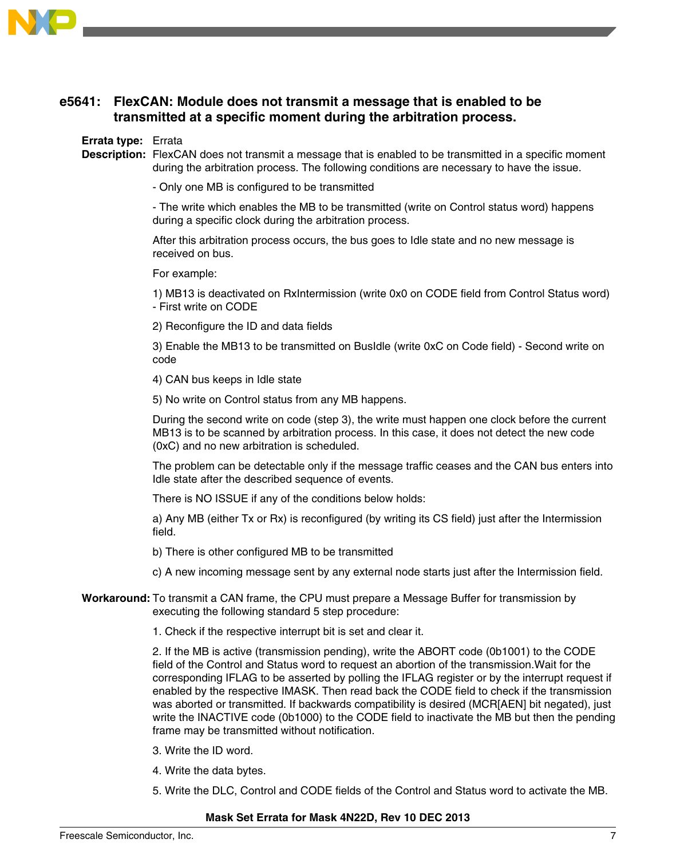

# **e5641: FlexCAN: Module does not transmit a message that is enabled to be transmitted at a specific moment during the arbitration process.**

#### **Errata type:** Errata

**Description:** FlexCAN does not transmit a message that is enabled to be transmitted in a specific moment during the arbitration process. The following conditions are necessary to have the issue.

- Only one MB is configured to be transmitted

- The write which enables the MB to be transmitted (write on Control status word) happens during a specific clock during the arbitration process.

After this arbitration process occurs, the bus goes to Idle state and no new message is received on bus.

For example:

1) MB13 is deactivated on RxIntermission (write 0x0 on CODE field from Control Status word) - First write on CODE

2) Reconfigure the ID and data fields

3) Enable the MB13 to be transmitted on BusIdle (write 0xC on Code field) - Second write on code

4) CAN bus keeps in Idle state

5) No write on Control status from any MB happens.

During the second write on code (step 3), the write must happen one clock before the current MB13 is to be scanned by arbitration process. In this case, it does not detect the new code (0xC) and no new arbitration is scheduled.

The problem can be detectable only if the message traffic ceases and the CAN bus enters into Idle state after the described sequence of events.

There is NO ISSUE if any of the conditions below holds:

a) Any MB (either Tx or Rx) is reconfigured (by writing its CS field) just after the Intermission field.

b) There is other configured MB to be transmitted

c) A new incoming message sent by any external node starts just after the Intermission field.

### **Workaround:** To transmit a CAN frame, the CPU must prepare a Message Buffer for transmission by executing the following standard 5 step procedure:

1. Check if the respective interrupt bit is set and clear it.

2. If the MB is active (transmission pending), write the ABORT code (0b1001) to the CODE field of the Control and Status word to request an abortion of the transmission.Wait for the corresponding IFLAG to be asserted by polling the IFLAG register or by the interrupt request if enabled by the respective IMASK. Then read back the CODE field to check if the transmission was aborted or transmitted. If backwards compatibility is desired (MCR[AEN] bit negated), just write the INACTIVE code (0b1000) to the CODE field to inactivate the MB but then the pending frame may be transmitted without notification.

- 3. Write the ID word.
- 4. Write the data bytes.
- 5. Write the DLC, Control and CODE fields of the Control and Status word to activate the MB.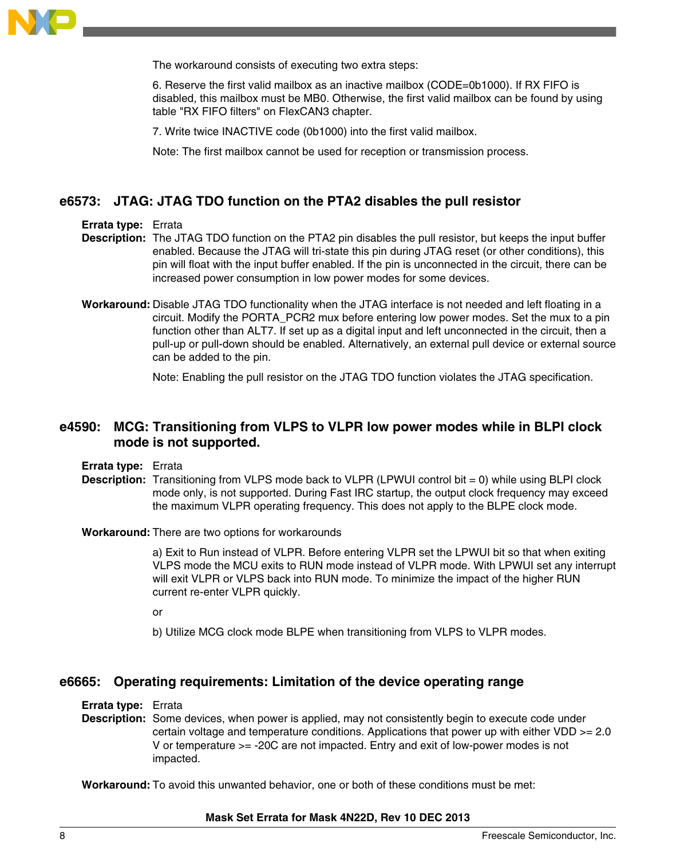

The workaround consists of executing two extra steps:

6. Reserve the first valid mailbox as an inactive mailbox (CODE=0b1000). If RX FIFO is disabled, this mailbox must be MB0. Otherwise, the first valid mailbox can be found by using table "RX FIFO filters" on FlexCAN3 chapter.

7. Write twice INACTIVE code (0b1000) into the first valid mailbox.

Note: The first mailbox cannot be used for reception or transmission process.

# **e6573: JTAG: JTAG TDO function on the PTA2 disables the pull resistor**

### **Errata type:** Errata

- **Description:** The JTAG TDO function on the PTA2 pin disables the pull resistor, but keeps the input buffer enabled. Because the JTAG will tri-state this pin during JTAG reset (or other conditions), this pin will float with the input buffer enabled. If the pin is unconnected in the circuit, there can be increased power consumption in low power modes for some devices.
- **Workaround:** Disable JTAG TDO functionality when the JTAG interface is not needed and left floating in a circuit. Modify the PORTA\_PCR2 mux before entering low power modes. Set the mux to a pin function other than ALT7. If set up as a digital input and left unconnected in the circuit, then a pull-up or pull-down should be enabled. Alternatively, an external pull device or external source can be added to the pin.

Note: Enabling the pull resistor on the JTAG TDO function violates the JTAG specification.

## **e4590: MCG: Transitioning from VLPS to VLPR low power modes while in BLPI clock mode is not supported.**

- **Errata type:** Errata
- **Description:** Transitioning from VLPS mode back to VLPR (LPWUI control bit = 0) while using BLPI clock mode only, is not supported. During Fast IRC startup, the output clock frequency may exceed the maximum VLPR operating frequency. This does not apply to the BLPE clock mode.

#### **Workaround:** There are two options for workarounds

a) Exit to Run instead of VLPR. Before entering VLPR set the LPWUI bit so that when exiting VLPS mode the MCU exits to RUN mode instead of VLPR mode. With LPWUI set any interrupt will exit VLPR or VLPS back into RUN mode. To minimize the impact of the higher RUN current re-enter VLPR quickly.

or

b) Utilize MCG clock mode BLPE when transitioning from VLPS to VLPR modes.

### **e6665: Operating requirements: Limitation of the device operating range**

#### **Errata type:** Errata

**Description:** Some devices, when power is applied, may not consistently begin to execute code under certain voltage and temperature conditions. Applications that power up with either VDD >= 2.0 V or temperature >= -20C are not impacted. Entry and exit of low-power modes is not impacted.

**Workaround:** To avoid this unwanted behavior, one or both of these conditions must be met: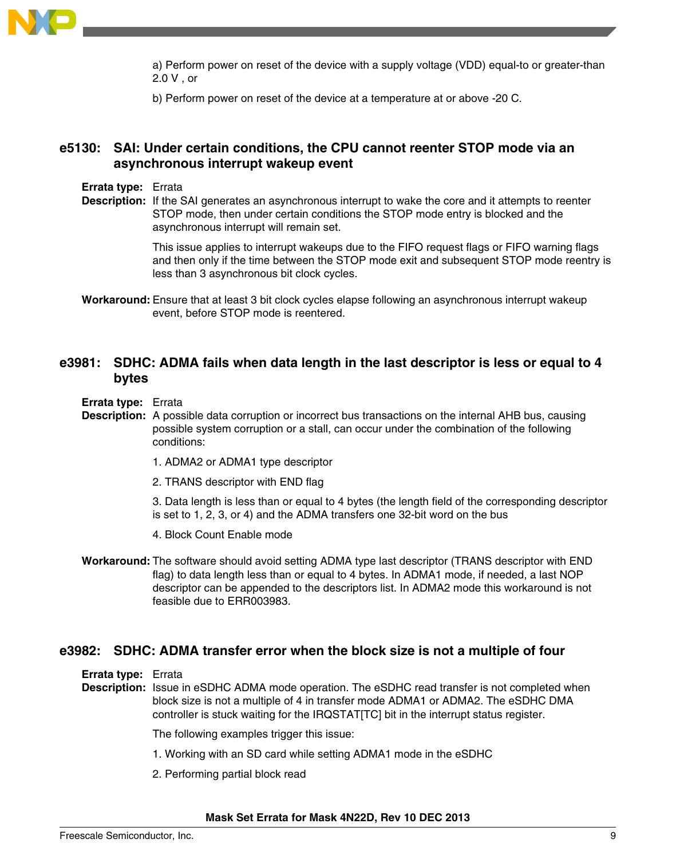

a) Perform power on reset of the device with a supply voltage (VDD) equal-to or greater-than 2.0 V , or

b) Perform power on reset of the device at a temperature at or above -20 C.

# **e5130: SAI: Under certain conditions, the CPU cannot reenter STOP mode via an asynchronous interrupt wakeup event**

- **Errata type:** Errata
- **Description:** If the SAI generates an asynchronous interrupt to wake the core and it attempts to reenter STOP mode, then under certain conditions the STOP mode entry is blocked and the asynchronous interrupt will remain set.

This issue applies to interrupt wakeups due to the FIFO request flags or FIFO warning flags and then only if the time between the STOP mode exit and subsequent STOP mode reentry is less than 3 asynchronous bit clock cycles.

**Workaround:** Ensure that at least 3 bit clock cycles elapse following an asynchronous interrupt wakeup event, before STOP mode is reentered.

### **e3981: SDHC: ADMA fails when data length in the last descriptor is less or equal to 4 bytes**

- **Errata type:** Errata
- **Description:** A possible data corruption or incorrect bus transactions on the internal AHB bus, causing possible system corruption or a stall, can occur under the combination of the following conditions:
	- 1. ADMA2 or ADMA1 type descriptor
	- 2. TRANS descriptor with END flag

3. Data length is less than or equal to 4 bytes (the length field of the corresponding descriptor is set to 1, 2, 3, or 4) and the ADMA transfers one 32-bit word on the bus

- 4. Block Count Enable mode
- **Workaround:** The software should avoid setting ADMA type last descriptor (TRANS descriptor with END flag) to data length less than or equal to 4 bytes. In ADMA1 mode, if needed, a last NOP descriptor can be appended to the descriptors list. In ADMA2 mode this workaround is not feasible due to ERR003983.

### **e3982: SDHC: ADMA transfer error when the block size is not a multiple of four**

**Errata type:** Errata

**Description:** Issue in eSDHC ADMA mode operation. The eSDHC read transfer is not completed when block size is not a multiple of 4 in transfer mode ADMA1 or ADMA2. The eSDHC DMA controller is stuck waiting for the IRQSTAT[TC] bit in the interrupt status register.

The following examples trigger this issue:

- 1. Working with an SD card while setting ADMA1 mode in the eSDHC
- 2. Performing partial block read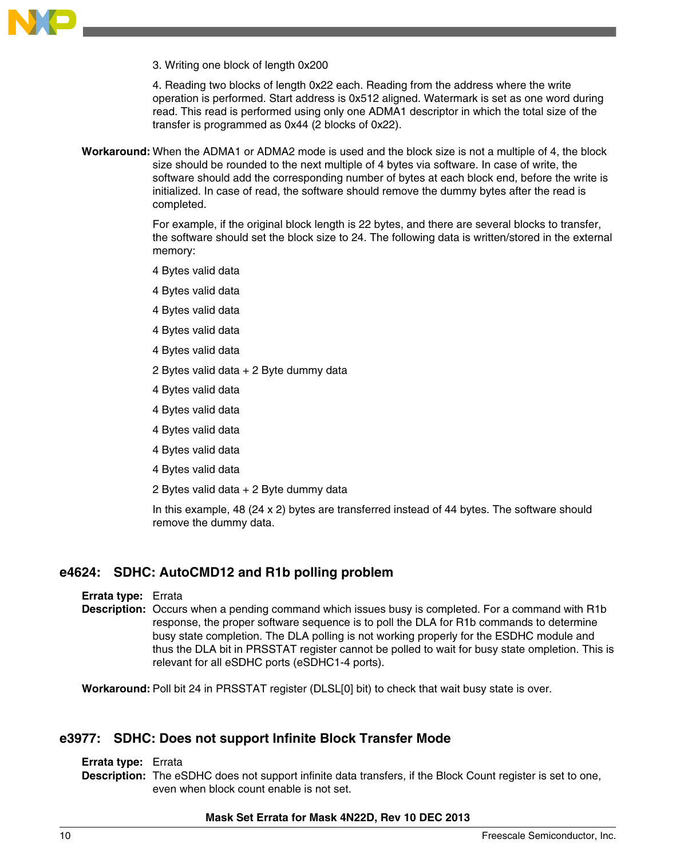

3. Writing one block of length 0x200

4. Reading two blocks of length 0x22 each. Reading from the address where the write operation is performed. Start address is 0x512 aligned. Watermark is set as one word during read. This read is performed using only one ADMA1 descriptor in which the total size of the transfer is programmed as 0x44 (2 blocks of 0x22).

**Workaround:** When the ADMA1 or ADMA2 mode is used and the block size is not a multiple of 4, the block size should be rounded to the next multiple of 4 bytes via software. In case of write, the software should add the corresponding number of bytes at each block end, before the write is initialized. In case of read, the software should remove the dummy bytes after the read is completed.

> For example, if the original block length is 22 bytes, and there are several blocks to transfer, the software should set the block size to 24. The following data is written/stored in the external memory:

- 4 Bytes valid data
- 4 Bytes valid data
- 4 Bytes valid data
- 4 Bytes valid data
- 4 Bytes valid data
- 2 Bytes valid data + 2 Byte dummy data
- 4 Bytes valid data
- 4 Bytes valid data
- 4 Bytes valid data
- 4 Bytes valid data
- 4 Bytes valid data
- 2 Bytes valid data + 2 Byte dummy data

In this example, 48 (24 x 2) bytes are transferred instead of 44 bytes. The software should remove the dummy data.

# **e4624: SDHC: AutoCMD12 and R1b polling problem**

**Errata type:** Errata

**Description:** Occurs when a pending command which issues busy is completed. For a command with R1b response, the proper software sequence is to poll the DLA for R1b commands to determine busy state completion. The DLA polling is not working properly for the ESDHC module and thus the DLA bit in PRSSTAT register cannot be polled to wait for busy state ompletion. This is relevant for all eSDHC ports (eSDHC1-4 ports).

**Workaround:** Poll bit 24 in PRSSTAT register (DLSL[0] bit) to check that wait busy state is over.

### **e3977: SDHC: Does not support Infinite Block Transfer Mode**

#### **Errata type:** Errata

**Description:** The eSDHC does not support infinite data transfers, if the Block Count register is set to one, even when block count enable is not set.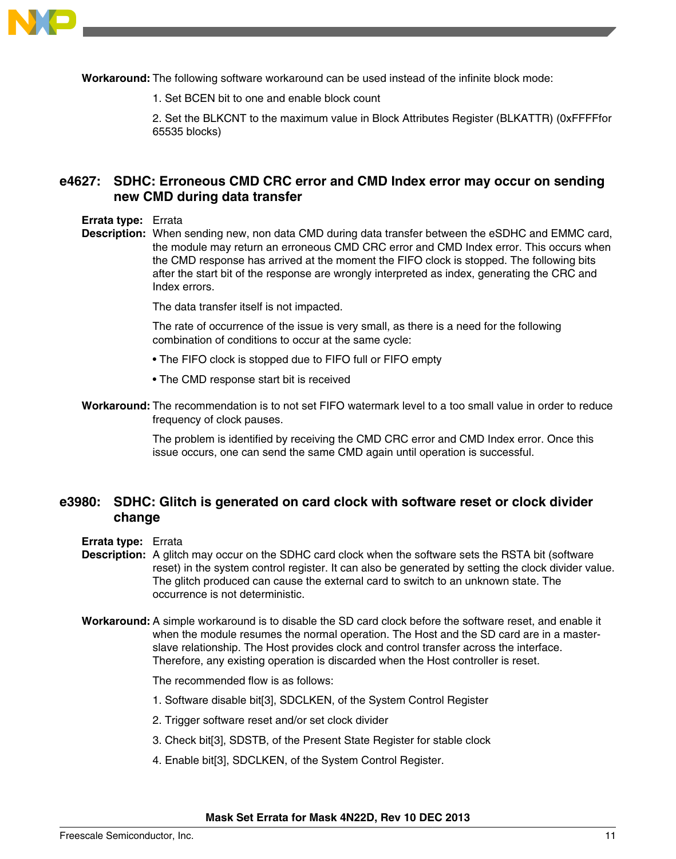

**Workaround:** The following software workaround can be used instead of the infinite block mode:

1. Set BCEN bit to one and enable block count

2. Set the BLKCNT to the maximum value in Block Attributes Register (BLKATTR) (0xFFFFfor 65535 blocks)

# **e4627: SDHC: Erroneous CMD CRC error and CMD Index error may occur on sending new CMD during data transfer**

#### **Errata type:** Errata

**Description:** When sending new, non data CMD during data transfer between the eSDHC and EMMC card, the module may return an erroneous CMD CRC error and CMD Index error. This occurs when the CMD response has arrived at the moment the FIFO clock is stopped. The following bits after the start bit of the response are wrongly interpreted as index, generating the CRC and Index errors.

The data transfer itself is not impacted.

The rate of occurrence of the issue is very small, as there is a need for the following combination of conditions to occur at the same cycle:

- The FIFO clock is stopped due to FIFO full or FIFO empty
- The CMD response start bit is received
- **Workaround:** The recommendation is to not set FIFO watermark level to a too small value in order to reduce frequency of clock pauses.

The problem is identified by receiving the CMD CRC error and CMD Index error. Once this issue occurs, one can send the same CMD again until operation is successful.

### **e3980: SDHC: Glitch is generated on card clock with software reset or clock divider change**

- **Errata type:** Errata
- **Description:** A glitch may occur on the SDHC card clock when the software sets the RSTA bit (software reset) in the system control register. It can also be generated by setting the clock divider value. The glitch produced can cause the external card to switch to an unknown state. The occurrence is not deterministic.
- **Workaround:** A simple workaround is to disable the SD card clock before the software reset, and enable it when the module resumes the normal operation. The Host and the SD card are in a masterslave relationship. The Host provides clock and control transfer across the interface. Therefore, any existing operation is discarded when the Host controller is reset.

The recommended flow is as follows:

- 1. Software disable bit[3], SDCLKEN, of the System Control Register
- 2. Trigger software reset and/or set clock divider
- 3. Check bit[3], SDSTB, of the Present State Register for stable clock
- 4. Enable bit[3], SDCLKEN, of the System Control Register.

**Mask Set Errata for Mask 4N22D, Rev 10 DEC 2013**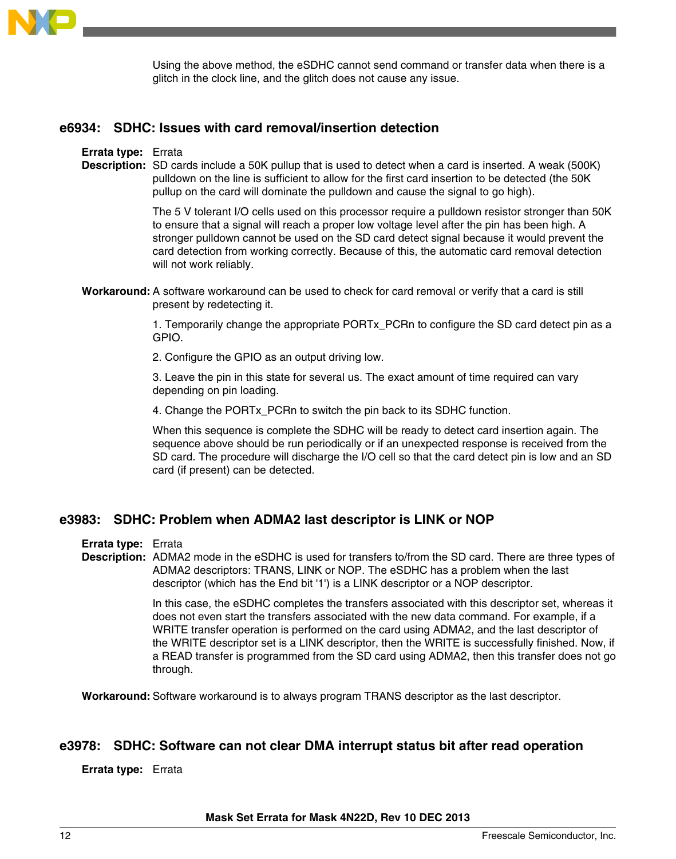

Using the above method, the eSDHC cannot send command or transfer data when there is a glitch in the clock line, and the glitch does not cause any issue.

### **e6934: SDHC: Issues with card removal/insertion detection**

#### **Errata type:** Errata

**Description:** SD cards include a 50K pullup that is used to detect when a card is inserted. A weak (500K) pulldown on the line is sufficient to allow for the first card insertion to be detected (the 50K pullup on the card will dominate the pulldown and cause the signal to go high).

> The 5 V tolerant I/O cells used on this processor require a pulldown resistor stronger than 50K to ensure that a signal will reach a proper low voltage level after the pin has been high. A stronger pulldown cannot be used on the SD card detect signal because it would prevent the card detection from working correctly. Because of this, the automatic card removal detection will not work reliably.

**Workaround:** A software workaround can be used to check for card removal or verify that a card is still present by redetecting it.

> 1. Temporarily change the appropriate PORTx\_PCRn to configure the SD card detect pin as a GPIO.

2. Configure the GPIO as an output driving low.

3. Leave the pin in this state for several us. The exact amount of time required can vary depending on pin loading.

4. Change the PORTx\_PCRn to switch the pin back to its SDHC function.

When this sequence is complete the SDHC will be ready to detect card insertion again. The sequence above should be run periodically or if an unexpected response is received from the SD card. The procedure will discharge the I/O cell so that the card detect pin is low and an SD card (if present) can be detected.

### **e3983: SDHC: Problem when ADMA2 last descriptor is LINK or NOP**

**Errata type:** Errata

**Description:** ADMA2 mode in the eSDHC is used for transfers to/from the SD card. There are three types of ADMA2 descriptors: TRANS, LINK or NOP. The eSDHC has a problem when the last descriptor (which has the End bit '1') is a LINK descriptor or a NOP descriptor.

> In this case, the eSDHC completes the transfers associated with this descriptor set, whereas it does not even start the transfers associated with the new data command. For example, if a WRITE transfer operation is performed on the card using ADMA2, and the last descriptor of the WRITE descriptor set is a LINK descriptor, then the WRITE is successfully finished. Now, if a READ transfer is programmed from the SD card using ADMA2, then this transfer does not go through.

**Workaround:** Software workaround is to always program TRANS descriptor as the last descriptor.

### **e3978: SDHC: Software can not clear DMA interrupt status bit after read operation**

#### **Errata type:** Errata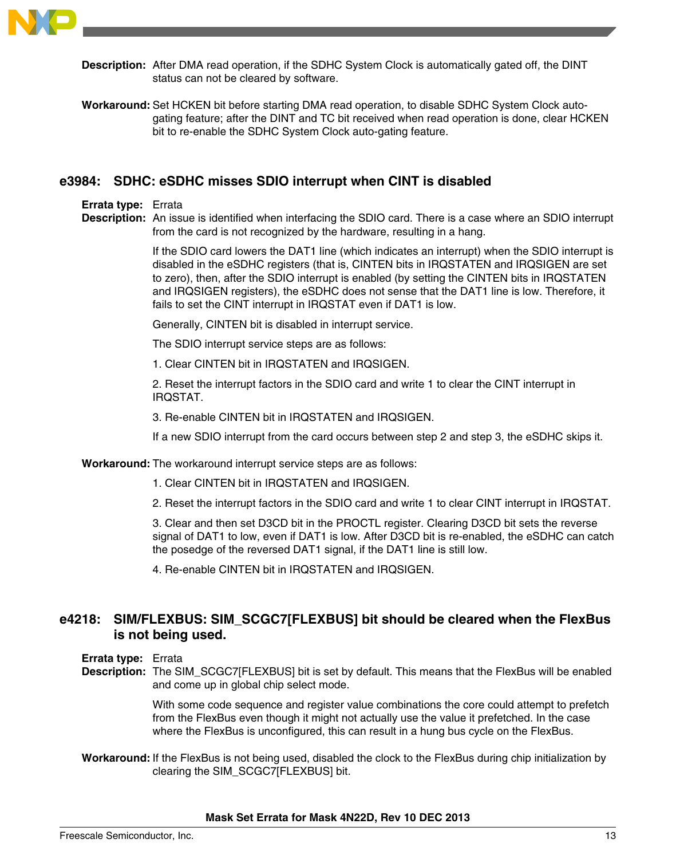

**Description:** After DMA read operation, if the SDHC System Clock is automatically gated off, the DINT status can not be cleared by software.

**Workaround:** Set HCKEN bit before starting DMA read operation, to disable SDHC System Clock autogating feature; after the DINT and TC bit received when read operation is done, clear HCKEN bit to re-enable the SDHC System Clock auto-gating feature.

### **e3984: SDHC: eSDHC misses SDIO interrupt when CINT is disabled**

#### **Errata type:** Errata

**Description:** An issue is identified when interfacing the SDIO card. There is a case where an SDIO interrupt from the card is not recognized by the hardware, resulting in a hang.

> If the SDIO card lowers the DAT1 line (which indicates an interrupt) when the SDIO interrupt is disabled in the eSDHC registers (that is, CINTEN bits in IRQSTATEN and IRQSIGEN are set to zero), then, after the SDIO interrupt is enabled (by setting the CINTEN bits in IRQSTATEN and IRQSIGEN registers), the eSDHC does not sense that the DAT1 line is low. Therefore, it fails to set the CINT interrupt in IRQSTAT even if DAT1 is low.

Generally, CINTEN bit is disabled in interrupt service.

The SDIO interrupt service steps are as follows:

1. Clear CINTEN bit in IRQSTATEN and IRQSIGEN.

2. Reset the interrupt factors in the SDIO card and write 1 to clear the CINT interrupt in IRQSTAT.

3. Re-enable CINTEN bit in IRQSTATEN and IRQSIGEN.

If a new SDIO interrupt from the card occurs between step 2 and step 3, the eSDHC skips it.

**Workaround:** The workaround interrupt service steps are as follows:

1. Clear CINTEN bit in IRQSTATEN and IRQSIGEN.

2. Reset the interrupt factors in the SDIO card and write 1 to clear CINT interrupt in IRQSTAT.

3. Clear and then set D3CD bit in the PROCTL register. Clearing D3CD bit sets the reverse signal of DAT1 to low, even if DAT1 is low. After D3CD bit is re-enabled, the eSDHC can catch the posedge of the reversed DAT1 signal, if the DAT1 line is still low.

4. Re-enable CINTEN bit in IRQSTATEN and IRQSIGEN.

# **e4218: SIM/FLEXBUS: SIM\_SCGC7[FLEXBUS] bit should be cleared when the FlexBus is not being used.**

**Errata type:** Errata

**Description:** The SIM\_SCGC7[FLEXBUS] bit is set by default. This means that the FlexBus will be enabled and come up in global chip select mode.

> With some code sequence and register value combinations the core could attempt to prefetch from the FlexBus even though it might not actually use the value it prefetched. In the case where the FlexBus is unconfigured, this can result in a hung bus cycle on the FlexBus.

**Workaround:** If the FlexBus is not being used, disabled the clock to the FlexBus during chip initialization by clearing the SIM\_SCGC7[FLEXBUS] bit.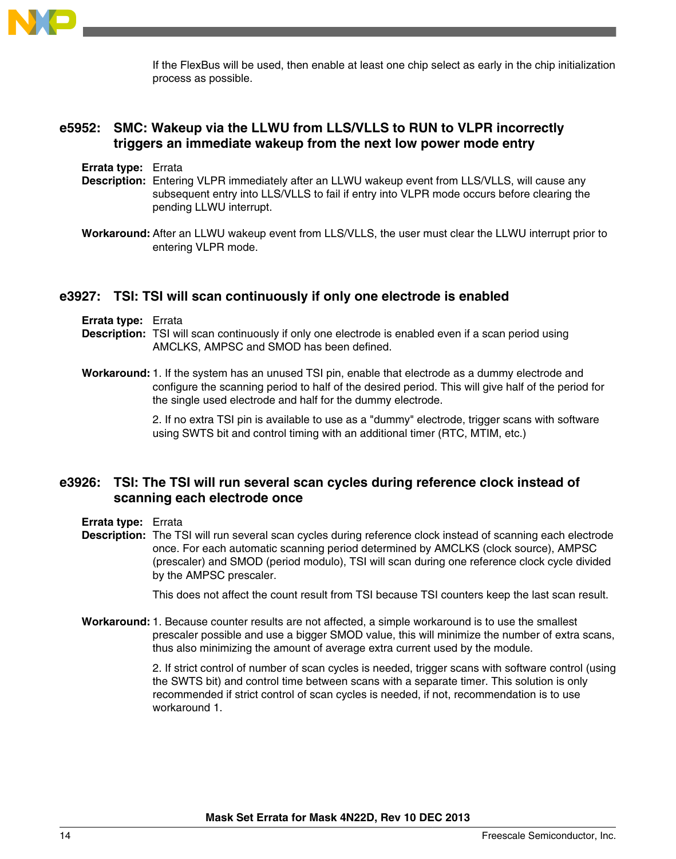

If the FlexBus will be used, then enable at least one chip select as early in the chip initialization process as possible.

# **e5952: SMC: Wakeup via the LLWU from LLS/VLLS to RUN to VLPR incorrectly triggers an immediate wakeup from the next low power mode entry**

**Errata type:** Errata

- **Description:** Entering VLPR immediately after an LLWU wakeup event from LLS/VLLS, will cause any subsequent entry into LLS/VLLS to fail if entry into VLPR mode occurs before clearing the pending LLWU interrupt.
- **Workaround:** After an LLWU wakeup event from LLS/VLLS, the user must clear the LLWU interrupt prior to entering VLPR mode.

### **e3927: TSI: TSI will scan continuously if only one electrode is enabled**

**Errata type:** Errata

- **Description:** TSI will scan continuously if only one electrode is enabled even if a scan period using AMCLKS, AMPSC and SMOD has been defined.
- **Workaround:**1. If the system has an unused TSI pin, enable that electrode as a dummy electrode and configure the scanning period to half of the desired period. This will give half of the period for the single used electrode and half for the dummy electrode.

2. If no extra TSI pin is available to use as a "dummy" electrode, trigger scans with software using SWTS bit and control timing with an additional timer (RTC, MTIM, etc.)

## **e3926: TSI: The TSI will run several scan cycles during reference clock instead of scanning each electrode once**

**Errata type:** Errata

**Description:** The TSI will run several scan cycles during reference clock instead of scanning each electrode once. For each automatic scanning period determined by AMCLKS (clock source), AMPSC (prescaler) and SMOD (period modulo), TSI will scan during one reference clock cycle divided by the AMPSC prescaler.

This does not affect the count result from TSI because TSI counters keep the last scan result.

**Workaround:**1. Because counter results are not affected, a simple workaround is to use the smallest prescaler possible and use a bigger SMOD value, this will minimize the number of extra scans, thus also minimizing the amount of average extra current used by the module.

> 2. If strict control of number of scan cycles is needed, trigger scans with software control (using the SWTS bit) and control time between scans with a separate timer. This solution is only recommended if strict control of scan cycles is needed, if not, recommendation is to use workaround 1.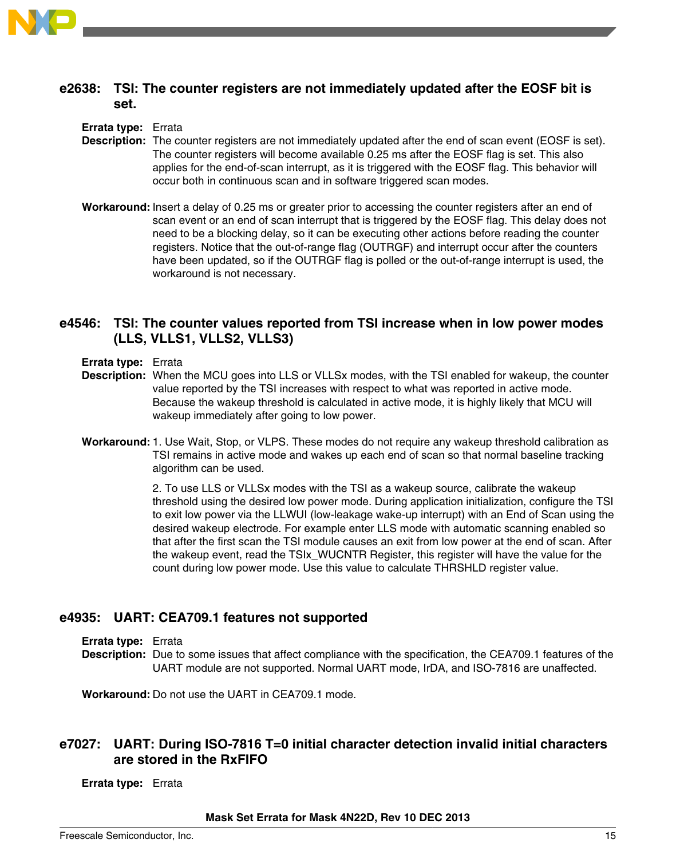

# **e2638: TSI: The counter registers are not immediately updated after the EOSF bit is set.**

### **Errata type:** Errata

- **Description:** The counter registers are not immediately updated after the end of scan event (EOSF is set). The counter registers will become available 0.25 ms after the EOSF flag is set. This also applies for the end-of-scan interrupt, as it is triggered with the EOSF flag. This behavior will occur both in continuous scan and in software triggered scan modes.
- **Workaround:** Insert a delay of 0.25 ms or greater prior to accessing the counter registers after an end of scan event or an end of scan interrupt that is triggered by the EOSF flag. This delay does not need to be a blocking delay, so it can be executing other actions before reading the counter registers. Notice that the out-of-range flag (OUTRGF) and interrupt occur after the counters have been updated, so if the OUTRGF flag is polled or the out-of-range interrupt is used, the workaround is not necessary.

### **e4546: TSI: The counter values reported from TSI increase when in low power modes (LLS, VLLS1, VLLS2, VLLS3)**

- **Errata type:** Errata
- **Description:** When the MCU goes into LLS or VLLSx modes, with the TSI enabled for wakeup, the counter value reported by the TSI increases with respect to what was reported in active mode. Because the wakeup threshold is calculated in active mode, it is highly likely that MCU will wakeup immediately after going to low power.
- **Workaround:**1. Use Wait, Stop, or VLPS. These modes do not require any wakeup threshold calibration as TSI remains in active mode and wakes up each end of scan so that normal baseline tracking algorithm can be used.

2. To use LLS or VLLSx modes with the TSI as a wakeup source, calibrate the wakeup threshold using the desired low power mode. During application initialization, configure the TSI to exit low power via the LLWUI (low-leakage wake-up interrupt) with an End of Scan using the desired wakeup electrode. For example enter LLS mode with automatic scanning enabled so that after the first scan the TSI module causes an exit from low power at the end of scan. After the wakeup event, read the TSIx\_WUCNTR Register, this register will have the value for the count during low power mode. Use this value to calculate THRSHLD register value.

### **e4935: UART: CEA709.1 features not supported**

**Errata type:** Errata

**Description:** Due to some issues that affect compliance with the specification, the CEA709.1 features of the UART module are not supported. Normal UART mode, IrDA, and ISO-7816 are unaffected.

**Workaround:** Do not use the UART in CEA709.1 mode.

# **e7027: UART: During ISO-7816 T=0 initial character detection invalid initial characters are stored in the RxFIFO**

**Errata type:** Errata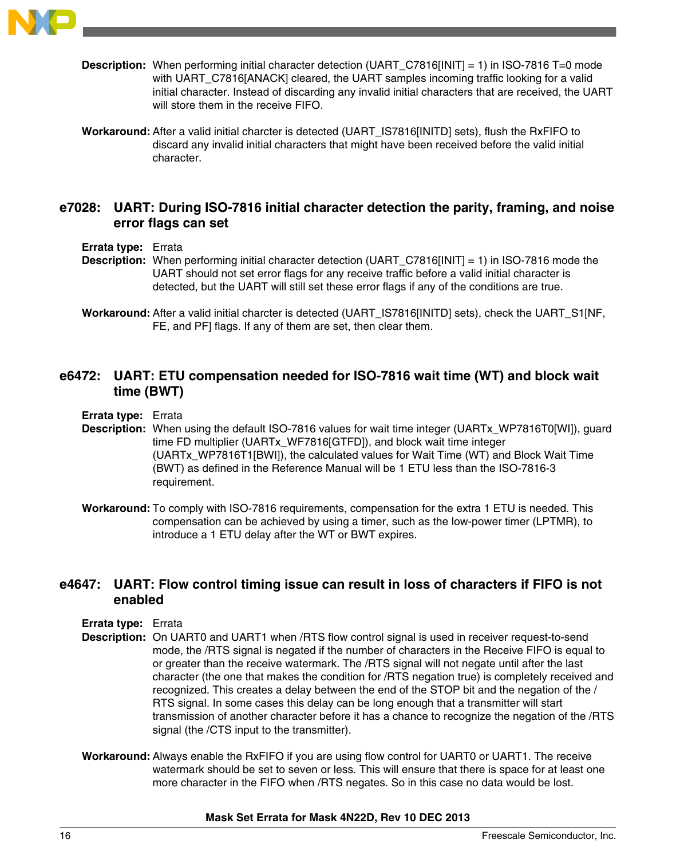

- **Description:** When performing initial character detection (UART\_C7816[INIT] = 1) in ISO-7816 T=0 mode with UART\_C7816[ANACK] cleared, the UART samples incoming traffic looking for a valid initial character. Instead of discarding any invalid initial characters that are received, the UART will store them in the receive FIFO.
- **Workaround:** After a valid initial charcter is detected (UART\_IS7816[INITD] sets), flush the RxFIFO to discard any invalid initial characters that might have been received before the valid initial character.

## **e7028: UART: During ISO-7816 initial character detection the parity, framing, and noise error flags can set**

- **Errata type:** Errata
- **Description:** When performing initial character detection (UART C7816[INIT] = 1) in ISO-7816 mode the UART should not set error flags for any receive traffic before a valid initial character is detected, but the UART will still set these error flags if any of the conditions are true.
- **Workaround:** After a valid initial charcter is detected (UART\_IS7816[INITD] sets), check the UART\_S1[NF, FE, and PF] flags. If any of them are set, then clear them.

# **e6472: UART: ETU compensation needed for ISO-7816 wait time (WT) and block wait time (BWT)**

- **Errata type:** Errata
- **Description:** When using the default ISO-7816 values for wait time integer (UARTx\_WP7816T0[WI]), guard time FD multiplier (UARTx\_WF7816[GTFD]), and block wait time integer (UARTx\_WP7816T1[BWI]), the calculated values for Wait Time (WT) and Block Wait Time (BWT) as defined in the Reference Manual will be 1 ETU less than the ISO-7816-3 requirement.
- **Workaround:** To comply with ISO-7816 requirements, compensation for the extra 1 ETU is needed. This compensation can be achieved by using a timer, such as the low-power timer (LPTMR), to introduce a 1 ETU delay after the WT or BWT expires.

# **e4647: UART: Flow control timing issue can result in loss of characters if FIFO is not enabled**

- **Errata type:** Errata
- **Description:** On UART0 and UART1 when /RTS flow control signal is used in receiver request-to-send mode, the /RTS signal is negated if the number of characters in the Receive FIFO is equal to or greater than the receive watermark. The /RTS signal will not negate until after the last character (the one that makes the condition for /RTS negation true) is completely received and recognized. This creates a delay between the end of the STOP bit and the negation of the / RTS signal. In some cases this delay can be long enough that a transmitter will start transmission of another character before it has a chance to recognize the negation of the /RTS signal (the /CTS input to the transmitter).
- **Workaround:** Always enable the RxFIFO if you are using flow control for UART0 or UART1. The receive watermark should be set to seven or less. This will ensure that there is space for at least one more character in the FIFO when /RTS negates. So in this case no data would be lost.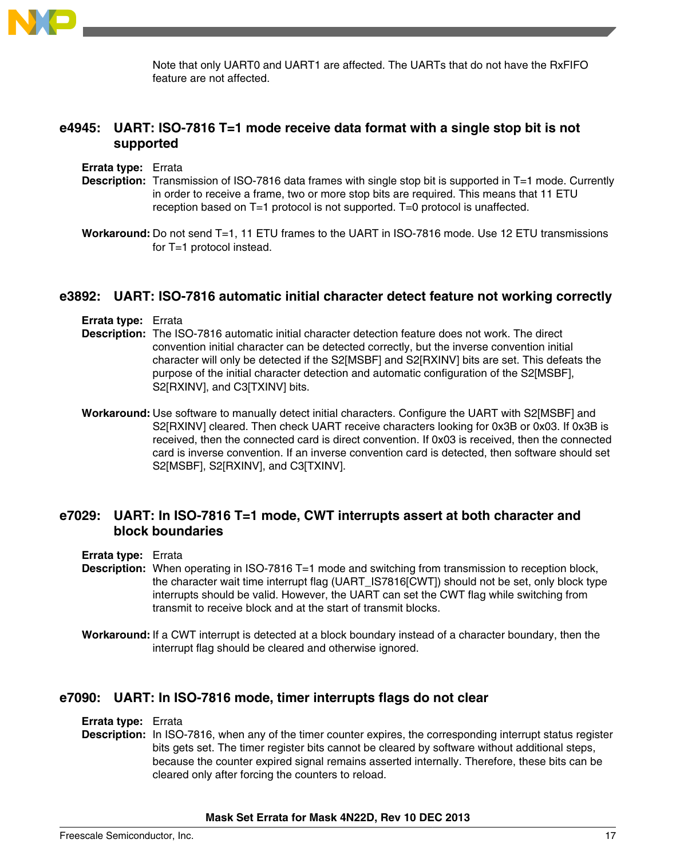

Note that only UART0 and UART1 are affected. The UARTs that do not have the RxFIFO feature are not affected.

# **e4945: UART: ISO-7816 T=1 mode receive data format with a single stop bit is not supported**

- **Errata type:** Errata
- **Description:** Transmission of ISO-7816 data frames with single stop bit is supported in T=1 mode. Currently in order to receive a frame, two or more stop bits are required. This means that 11 ETU reception based on T=1 protocol is not supported. T=0 protocol is unaffected.
- **Workaround:** Do not send T=1, 11 ETU frames to the UART in ISO-7816 mode. Use 12 ETU transmissions for T=1 protocol instead.

### **e3892: UART: ISO-7816 automatic initial character detect feature not working correctly**

- **Errata type:** Errata
- **Description:** The ISO-7816 automatic initial character detection feature does not work. The direct convention initial character can be detected correctly, but the inverse convention initial character will only be detected if the S2[MSBF] and S2[RXINV] bits are set. This defeats the purpose of the initial character detection and automatic configuration of the S2[MSBF], S2[RXINV], and C3[TXINV] bits.
- **Workaround:** Use software to manually detect initial characters. Configure the UART with S2[MSBF] and S2[RXINV] cleared. Then check UART receive characters looking for 0x3B or 0x03. If 0x3B is received, then the connected card is direct convention. If 0x03 is received, then the connected card is inverse convention. If an inverse convention card is detected, then software should set S2[MSBF], S2[RXINV], and C3[TXINV].

## **e7029: UART: In ISO-7816 T=1 mode, CWT interrupts assert at both character and block boundaries**

#### **Errata type:** Errata

- **Description:** When operating in ISO-7816 T=1 mode and switching from transmission to reception block, the character wait time interrupt flag (UART\_IS7816[CWT]) should not be set, only block type interrupts should be valid. However, the UART can set the CWT flag while switching from transmit to receive block and at the start of transmit blocks.
- **Workaround:** If a CWT interrupt is detected at a block boundary instead of a character boundary, then the interrupt flag should be cleared and otherwise ignored.

### **e7090: UART: In ISO-7816 mode, timer interrupts flags do not clear**

#### **Errata type:** Errata

**Description:** In ISO-7816, when any of the timer counter expires, the corresponding interrupt status register bits gets set. The timer register bits cannot be cleared by software without additional steps, because the counter expired signal remains asserted internally. Therefore, these bits can be cleared only after forcing the counters to reload.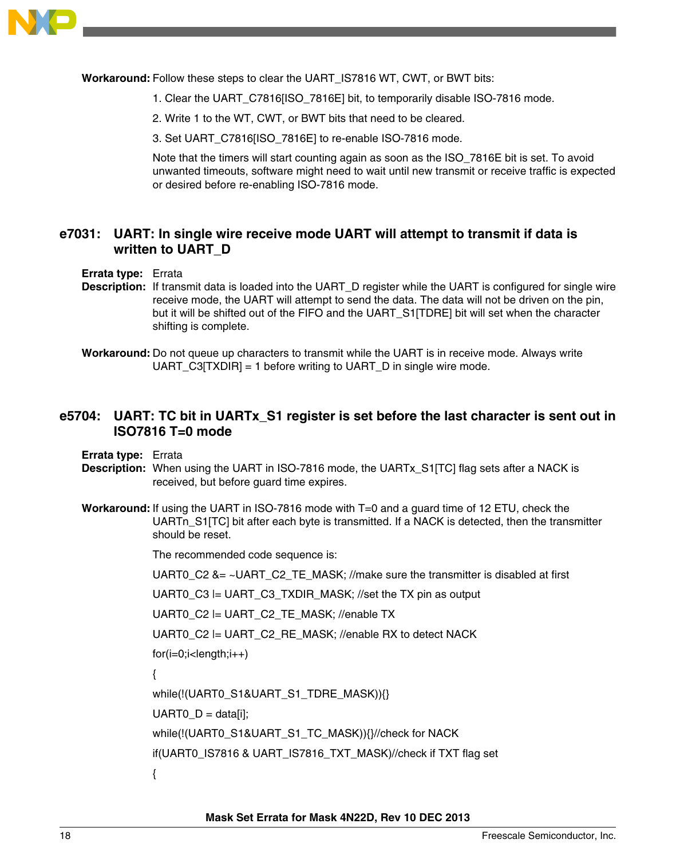

**Workaround:** Follow these steps to clear the UART\_IS7816 WT, CWT, or BWT bits:

- 1. Clear the UART\_C7816[ISO\_7816E] bit, to temporarily disable ISO-7816 mode.
- 2. Write 1 to the WT, CWT, or BWT bits that need to be cleared.
- 3. Set UART\_C7816[ISO\_7816E] to re-enable ISO-7816 mode.

Note that the timers will start counting again as soon as the ISO\_7816E bit is set. To avoid unwanted timeouts, software might need to wait until new transmit or receive traffic is expected or desired before re-enabling ISO-7816 mode.

# **e7031: UART: In single wire receive mode UART will attempt to transmit if data is written to UART\_D**

### **Errata type:** Errata

- **Description:** If transmit data is loaded into the UART\_D register while the UART is configured for single wire receive mode, the UART will attempt to send the data. The data will not be driven on the pin, but it will be shifted out of the FIFO and the UART\_S1[TDRE] bit will set when the character shifting is complete.
- **Workaround:** Do not queue up characters to transmit while the UART is in receive mode. Always write UART  $C3[TXDIR] = 1$  before writing to UART D in single wire mode.

## **e5704: UART: TC bit in UARTx\_S1 register is set before the last character is sent out in ISO7816 T=0 mode**

**Errata type:** Errata

- **Description:** When using the UART in ISO-7816 mode, the UARTx\_S1[TC] flag sets after a NACK is received, but before guard time expires.
- **Workaround:** If using the UART in ISO-7816 mode with T=0 and a guard time of 12 ETU, check the UARTn\_S1[TC] bit after each byte is transmitted. If a NACK is detected, then the transmitter should be reset.

The recommended code sequence is:

UART0 C2 &= ~UART C2 TE MASK; //make sure the transmitter is disabled at first

UART0\_C3 |= UART\_C3\_TXDIR\_MASK; //set the TX pin as output

UART0\_C2 |= UART\_C2\_TE\_MASK; //enable TX

UART0\_C2 |= UART\_C2\_RE\_MASK; //enable RX to detect NACK

 $for(i=0;i$ 

{

while(!(UART0\_S1&UART\_S1\_TDRE\_MASK)){}

```
UARTO D = data[i];
```
while(!(UART0\_S1&UART\_S1\_TC\_MASK)){}//check for NACK

if(UART0\_IS7816 & UART\_IS7816\_TXT\_MASK)//check if TXT flag set

{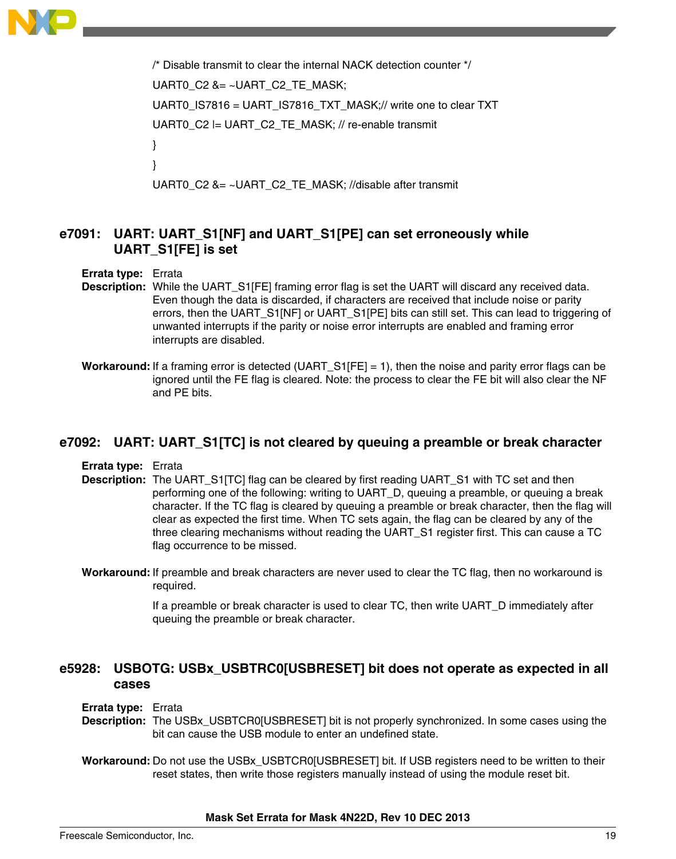

```
/* Disable transmit to clear the internal NACK detection counter */
UART0 C2 &= ~UART C2 TE MASK;
UART0_IS7816 = UART_IS7816_TXT_MASK;// write one to clear TXT
UART0_C2 |= UART_C2_TE_MASK; // re-enable transmit
}
}
UART0_C2 &= ~UART_C2_TE_MASK; //disable after transmit
```
# **e7091: UART: UART\_S1[NF] and UART\_S1[PE] can set erroneously while UART\_S1[FE] is set**

#### **Errata type:** Errata

- **Description:** While the UART S1[FE] framing error flag is set the UART will discard any received data. Even though the data is discarded, if characters are received that include noise or parity errors, then the UART\_S1[NF] or UART\_S1[PE] bits can still set. This can lead to triggering of unwanted interrupts if the parity or noise error interrupts are enabled and framing error interrupts are disabled.
- **Workaround:** If a framing error is detected (UART\_S1[FE] = 1), then the noise and parity error flags can be ignored until the FE flag is cleared. Note: the process to clear the FE bit will also clear the NF and PE bits.

### **e7092: UART: UART\_S1[TC] is not cleared by queuing a preamble or break character**

**Errata type:** Errata

- **Description:** The UART\_S1[TC] flag can be cleared by first reading UART\_S1 with TC set and then performing one of the following: writing to UART\_D, queuing a preamble, or queuing a break character. If the TC flag is cleared by queuing a preamble or break character, then the flag will clear as expected the first time. When TC sets again, the flag can be cleared by any of the three clearing mechanisms without reading the UART\_S1 register first. This can cause a TC flag occurrence to be missed.
- **Workaround:** If preamble and break characters are never used to clear the TC flag, then no workaround is required.

If a preamble or break character is used to clear TC, then write UART\_D immediately after queuing the preamble or break character.

# **e5928: USBOTG: USBx\_USBTRC0[USBRESET] bit does not operate as expected in all cases**

#### **Errata type:** Errata

- **Description:** The USBx USBTCR0[USBRESET] bit is not properly synchronized. In some cases using the bit can cause the USB module to enter an undefined state.
- Workaround: Do not use the USBx USBTCR0[USBRESET] bit. If USB registers need to be written to their reset states, then write those registers manually instead of using the module reset bit.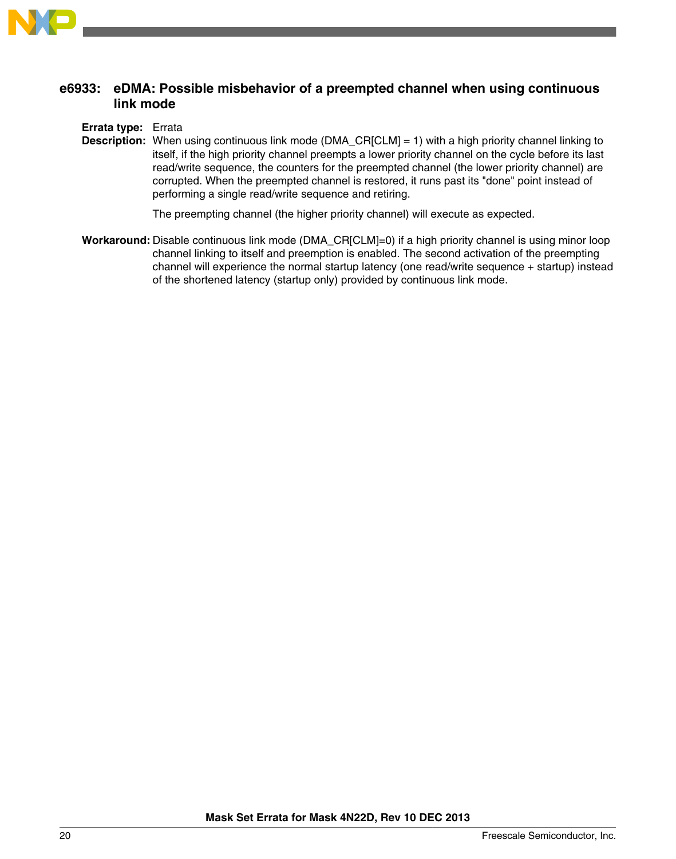

# **e6933: eDMA: Possible misbehavior of a preempted channel when using continuous link mode**

**Errata type:** Errata

**Description:** When using continuous link mode (DMA\_CR[CLM] = 1) with a high priority channel linking to itself, if the high priority channel preempts a lower priority channel on the cycle before its last read/write sequence, the counters for the preempted channel (the lower priority channel) are corrupted. When the preempted channel is restored, it runs past its "done" point instead of performing a single read/write sequence and retiring.

The preempting channel (the higher priority channel) will execute as expected.

**Workaround:** Disable continuous link mode (DMA\_CR[CLM]=0) if a high priority channel is using minor loop channel linking to itself and preemption is enabled. The second activation of the preempting channel will experience the normal startup latency (one read/write sequence + startup) instead of the shortened latency (startup only) provided by continuous link mode.